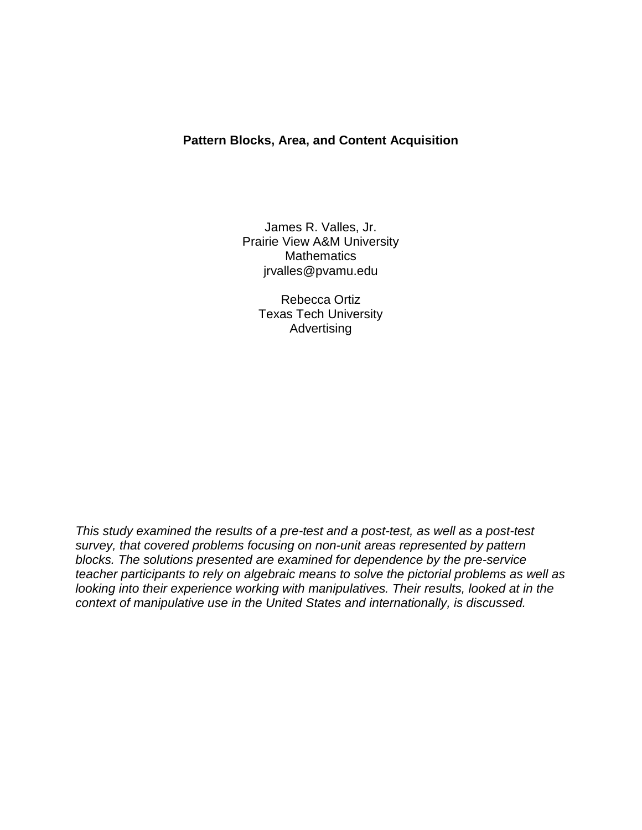# **Pattern Blocks, Area, and Content Acquisition**

James R. Valles, Jr. Prairie View A&M University **Mathematics** jrvalles@pvamu.edu

> Rebecca Ortiz Texas Tech University Advertising

*This study examined the results of a pre-test and a post-test, as well as a post-test survey, that covered problems focusing on non-unit areas represented by pattern blocks. The solutions presented are examined for dependence by the pre-service teacher participants to rely on algebraic means to solve the pictorial problems as well as looking into their experience working with manipulatives. Their results, looked at in the context of manipulative use in the United States and internationally, is discussed.*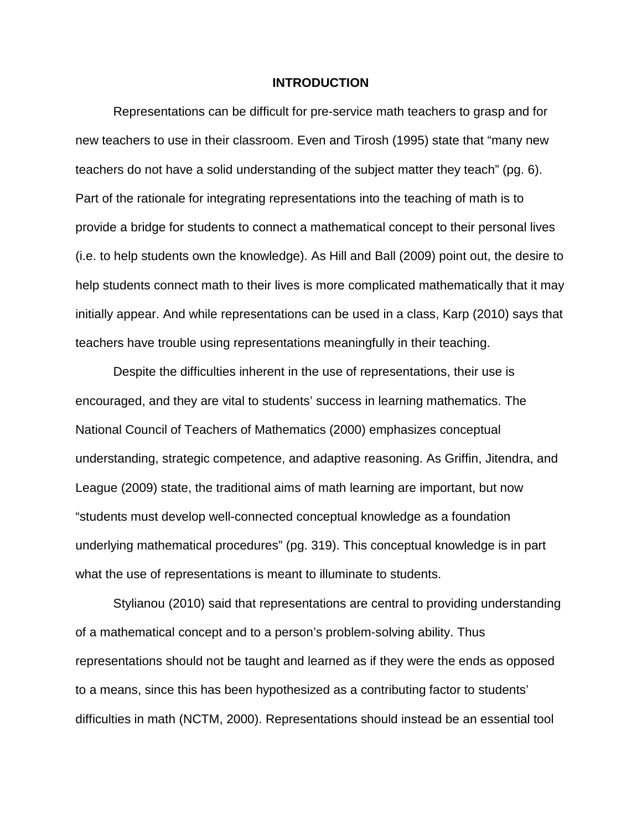#### **INTRODUCTION**

Representations can be difficult for pre-service math teachers to grasp and for new teachers to use in their classroom. Even and Tirosh (1995) state that "many new teachers do not have a solid understanding of the subject matter they teach" (pg. 6). Part of the rationale for integrating representations into the teaching of math is to provide a bridge for students to connect a mathematical concept to their personal lives (i.e. to help students own the knowledge). As Hill and Ball (2009) point out, the desire to help students connect math to their lives is more complicated mathematically that it may initially appear. And while representations can be used in a class, Karp (2010) says that teachers have trouble using representations meaningfully in their teaching.

Despite the difficulties inherent in the use of representations, their use is encouraged, and they are vital to students' success in learning mathematics. The National Council of Teachers of Mathematics (2000) emphasizes conceptual understanding, strategic competence, and adaptive reasoning. As Griffin, Jitendra, and League (2009) state, the traditional aims of math learning are important, but now "students must develop well-connected conceptual knowledge as a foundation underlying mathematical procedures" (pg. 319). This conceptual knowledge is in part what the use of representations is meant to illuminate to students.

Stylianou (2010) said that representations are central to providing understanding of a mathematical concept and to a person's problem-solving ability. Thus representations should not be taught and learned as if they were the ends as opposed to a means, since this has been hypothesized as a contributing factor to students' difficulties in math (NCTM, 2000). Representations should instead be an essential tool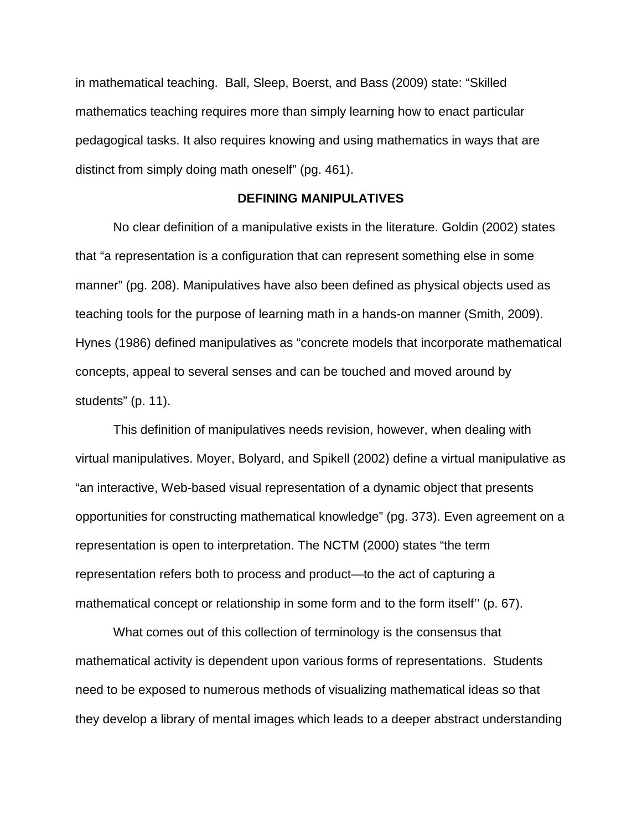in mathematical teaching. Ball, Sleep, Boerst, and Bass (2009) state: "Skilled mathematics teaching requires more than simply learning how to enact particular pedagogical tasks. It also requires knowing and using mathematics in ways that are distinct from simply doing math oneself" (pg. 461).

## **DEFINING MANIPULATIVES**

No clear definition of a manipulative exists in the literature. Goldin (2002) states that "a representation is a configuration that can represent something else in some manner" (pg. 208). Manipulatives have also been defined as physical objects used as teaching tools for the purpose of learning math in a hands-on manner (Smith, 2009). Hynes (1986) defined manipulatives as "concrete models that incorporate mathematical concepts, appeal to several senses and can be touched and moved around by students" (p. 11).

This definition of manipulatives needs revision, however, when dealing with virtual manipulatives. Moyer, Bolyard, and Spikell (2002) define a virtual manipulative as "an interactive, Web-based visual representation of a dynamic object that presents opportunities for constructing mathematical knowledge" (pg. 373). Even agreement on a representation is open to interpretation. The NCTM (2000) states "the term representation refers both to process and product—to the act of capturing a mathematical concept or relationship in some form and to the form itself'' (p. 67).

What comes out of this collection of terminology is the consensus that mathematical activity is dependent upon various forms of representations. Students need to be exposed to numerous methods of visualizing mathematical ideas so that they develop a library of mental images which leads to a deeper abstract understanding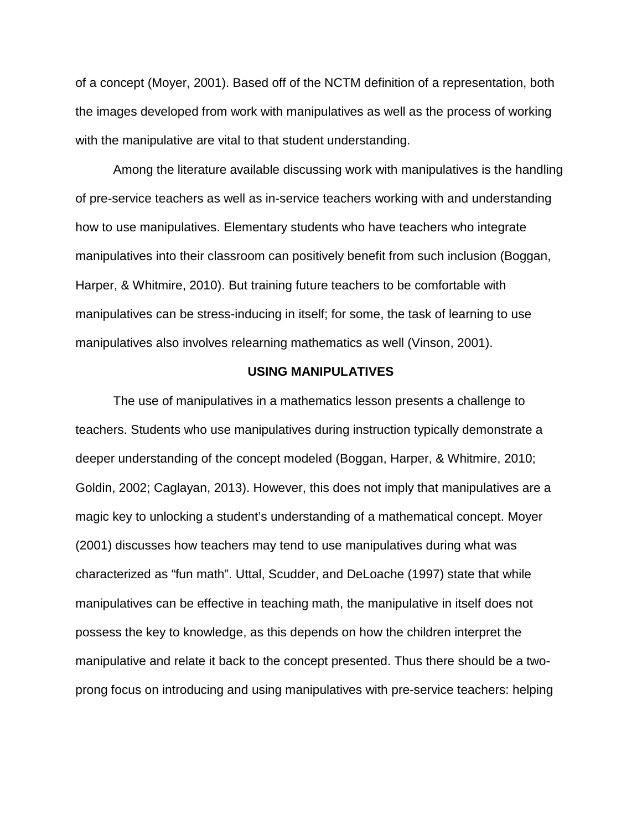of a concept (Moyer, 2001). Based off of the NCTM definition of a representation, both the images developed from work with manipulatives as well as the process of working with the manipulative are vital to that student understanding.

Among the literature available discussing work with manipulatives is the handling of pre-service teachers as well as in-service teachers working with and understanding how to use manipulatives. Elementary students who have teachers who integrate manipulatives into their classroom can positively benefit from such inclusion (Boggan, Harper, & Whitmire, 2010). But training future teachers to be comfortable with manipulatives can be stress-inducing in itself; for some, the task of learning to use manipulatives also involves relearning mathematics as well (Vinson, 2001).

#### **USING MANIPULATIVES**

The use of manipulatives in a mathematics lesson presents a challenge to teachers. Students who use manipulatives during instruction typically demonstrate a deeper understanding of the concept modeled (Boggan, Harper, & Whitmire, 2010; Goldin, 2002; Caglayan, 2013). However, this does not imply that manipulatives are a magic key to unlocking a student's understanding of a mathematical concept. Moyer (2001) discusses how teachers may tend to use manipulatives during what was characterized as "fun math". Uttal, Scudder, and DeLoache (1997) state that while manipulatives can be effective in teaching math, the manipulative in itself does not possess the key to knowledge, as this depends on how the children interpret the manipulative and relate it back to the concept presented. Thus there should be a twoprong focus on introducing and using manipulatives with pre-service teachers: helping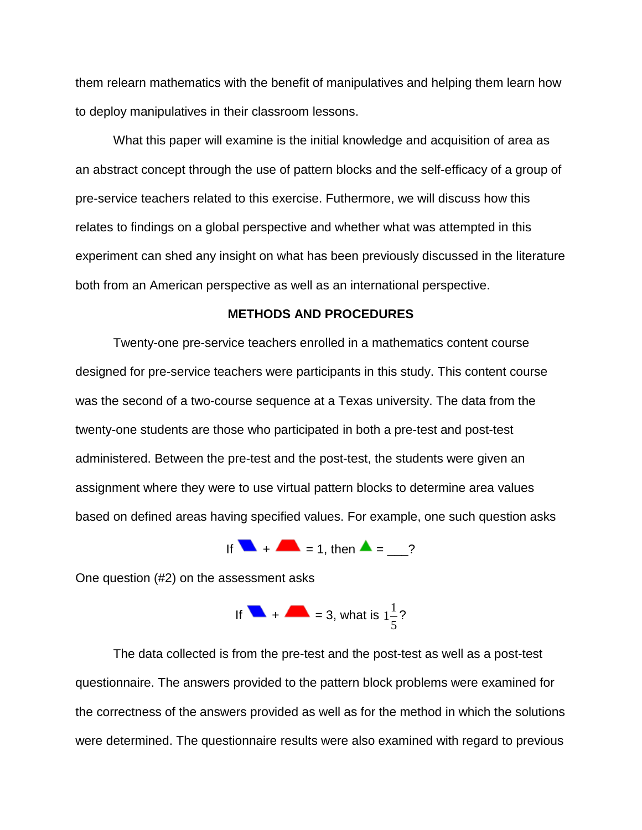them relearn mathematics with the benefit of manipulatives and helping them learn how to deploy manipulatives in their classroom lessons.

What this paper will examine is the initial knowledge and acquisition of area as an abstract concept through the use of pattern blocks and the self-efficacy of a group of pre-service teachers related to this exercise. Futhermore, we will discuss how this relates to findings on a global perspective and whether what was attempted in this experiment can shed any insight on what has been previously discussed in the literature both from an American perspective as well as an international perspective.

## **METHODS AND PROCEDURES**

Twenty-one pre-service teachers enrolled in a mathematics content course designed for pre-service teachers were participants in this study. This content course was the second of a two-course sequence at a Texas university. The data from the twenty-one students are those who participated in both a pre-test and post-test administered. Between the pre-test and the post-test, the students were given an assignment where they were to use virtual pattern blocks to determine area values based on defined areas having specified values. For example, one such question asks

If 
$$
\blacksquare + \blacksquare = 1
$$
, then  $\blacktriangle = \_?$ 

One question (#2) on the assessment asks

If 
$$
4 + 4 = 3
$$
, what is  $1\frac{1}{5}$ ?

The data collected is from the pre-test and the post-test as well as a post-test questionnaire. The answers provided to the pattern block problems were examined for the correctness of the answers provided as well as for the method in which the solutions were determined. The questionnaire results were also examined with regard to previous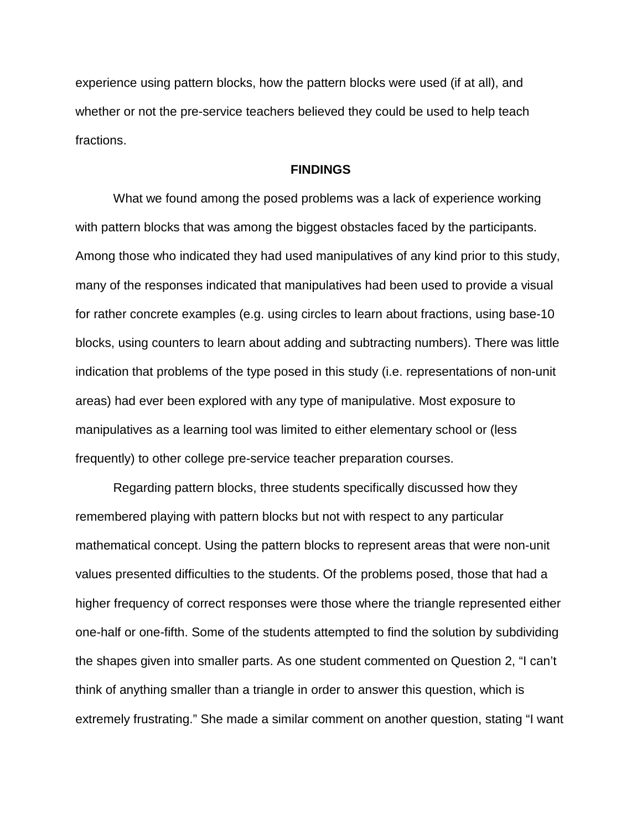experience using pattern blocks, how the pattern blocks were used (if at all), and whether or not the pre-service teachers believed they could be used to help teach fractions.

## **FINDINGS**

What we found among the posed problems was a lack of experience working with pattern blocks that was among the biggest obstacles faced by the participants. Among those who indicated they had used manipulatives of any kind prior to this study, many of the responses indicated that manipulatives had been used to provide a visual for rather concrete examples (e.g. using circles to learn about fractions, using base-10 blocks, using counters to learn about adding and subtracting numbers). There was little indication that problems of the type posed in this study (i.e. representations of non-unit areas) had ever been explored with any type of manipulative. Most exposure to manipulatives as a learning tool was limited to either elementary school or (less frequently) to other college pre-service teacher preparation courses.

Regarding pattern blocks, three students specifically discussed how they remembered playing with pattern blocks but not with respect to any particular mathematical concept. Using the pattern blocks to represent areas that were non-unit values presented difficulties to the students. Of the problems posed, those that had a higher frequency of correct responses were those where the triangle represented either one-half or one-fifth. Some of the students attempted to find the solution by subdividing the shapes given into smaller parts. As one student commented on Question 2, "I can't think of anything smaller than a triangle in order to answer this question, which is extremely frustrating." She made a similar comment on another question, stating "I want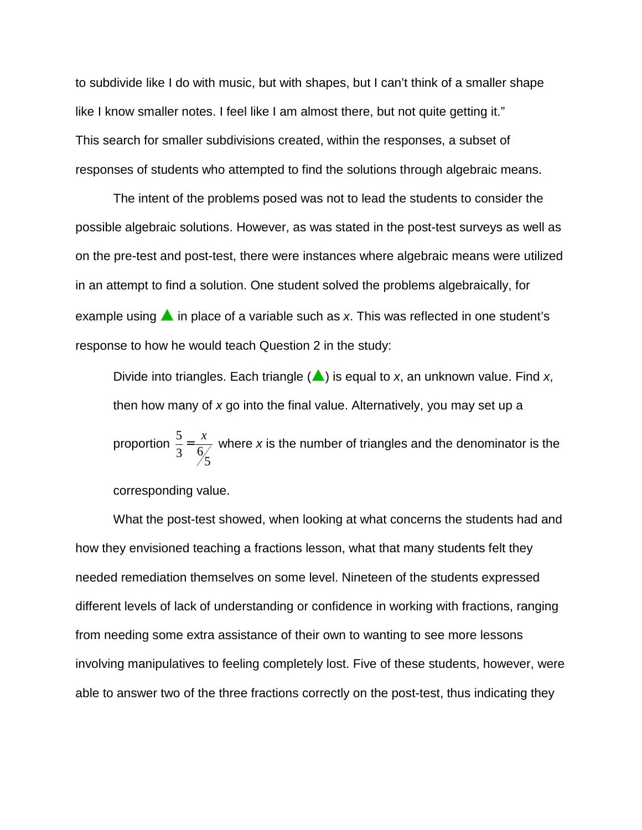to subdivide like I do with music, but with shapes, but I can't think of a smaller shape like I know smaller notes. I feel like I am almost there, but not quite getting it." This search for smaller subdivisions created, within the responses, a subset of responses of students who attempted to find the solutions through algebraic means.

The intent of the problems posed was not to lead the students to consider the possible algebraic solutions. However, as was stated in the post-test surveys as well as on the pre-test and post-test, there were instances where algebraic means were utilized in an attempt to find a solution. One student solved the problems algebraically, for example using  $\triangle$  in place of a variable such as x. This was reflected in one student's response to how he would teach Question 2 in the study:

Divide into triangles. Each triangle  $(\triangle)$  is equal to *x*, an unknown value. Find *x*, then how many of *x* go into the final value. Alternatively, you may set up a

proportion  $\frac{5}{3}$ 3  $\frac{6}{5}$  $=\frac{x}{\epsilon}$  where *x* is the number of triangles and the denominator is the

corresponding value.

What the post-test showed, when looking at what concerns the students had and how they envisioned teaching a fractions lesson, what that many students felt they needed remediation themselves on some level. Nineteen of the students expressed different levels of lack of understanding or confidence in working with fractions, ranging from needing some extra assistance of their own to wanting to see more lessons involving manipulatives to feeling completely lost. Five of these students, however, were able to answer two of the three fractions correctly on the post-test, thus indicating they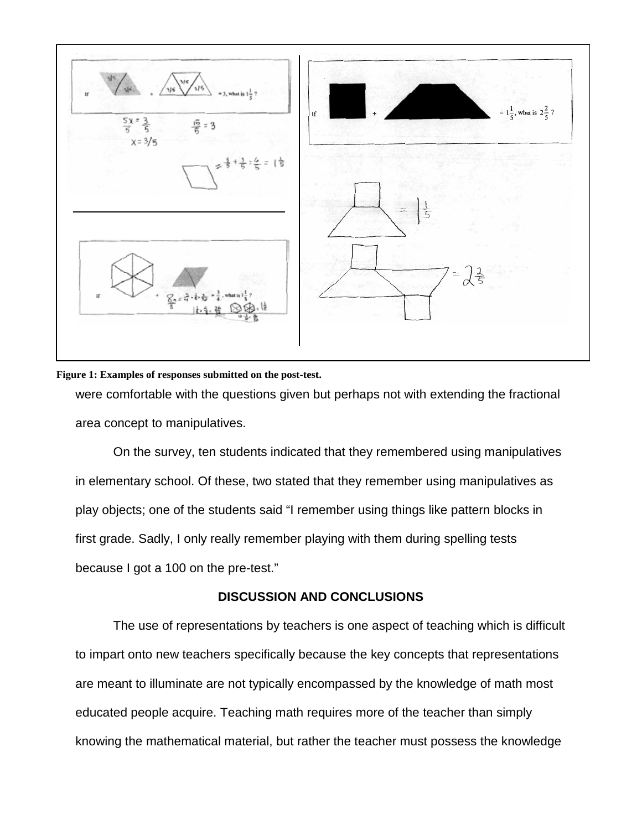

### **Figure 1: Examples of responses submitted on the post-test.**

were comfortable with the questions given but perhaps not with extending the fractional area concept to manipulatives.

On the survey, ten students indicated that they remembered using manipulatives in elementary school. Of these, two stated that they remember using manipulatives as play objects; one of the students said "I remember using things like pattern blocks in first grade. Sadly, I only really remember playing with them during spelling tests because I got a 100 on the pre-test."

# **DISCUSSION AND CONCLUSIONS**

The use of representations by teachers is one aspect of teaching which is difficult to impart onto new teachers specifically because the key concepts that representations are meant to illuminate are not typically encompassed by the knowledge of math most educated people acquire. Teaching math requires more of the teacher than simply knowing the mathematical material, but rather the teacher must possess the knowledge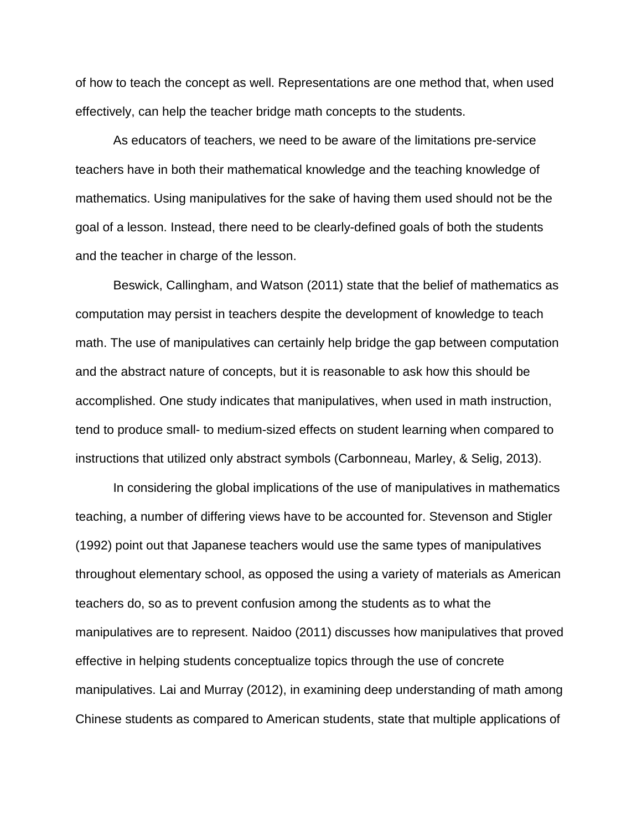of how to teach the concept as well. Representations are one method that, when used effectively, can help the teacher bridge math concepts to the students.

As educators of teachers, we need to be aware of the limitations pre-service teachers have in both their mathematical knowledge and the teaching knowledge of mathematics. Using manipulatives for the sake of having them used should not be the goal of a lesson. Instead, there need to be clearly-defined goals of both the students and the teacher in charge of the lesson.

Beswick, Callingham, and Watson (2011) state that the belief of mathematics as computation may persist in teachers despite the development of knowledge to teach math. The use of manipulatives can certainly help bridge the gap between computation and the abstract nature of concepts, but it is reasonable to ask how this should be accomplished. One study indicates that manipulatives, when used in math instruction, tend to produce small- to medium-sized effects on student learning when compared to instructions that utilized only abstract symbols (Carbonneau, Marley, & Selig, 2013).

In considering the global implications of the use of manipulatives in mathematics teaching, a number of differing views have to be accounted for. Stevenson and Stigler (1992) point out that Japanese teachers would use the same types of manipulatives throughout elementary school, as opposed the using a variety of materials as American teachers do, so as to prevent confusion among the students as to what the manipulatives are to represent. Naidoo (2011) discusses how manipulatives that proved effective in helping students conceptualize topics through the use of concrete manipulatives. Lai and Murray (2012), in examining deep understanding of math among Chinese students as compared to American students, state that multiple applications of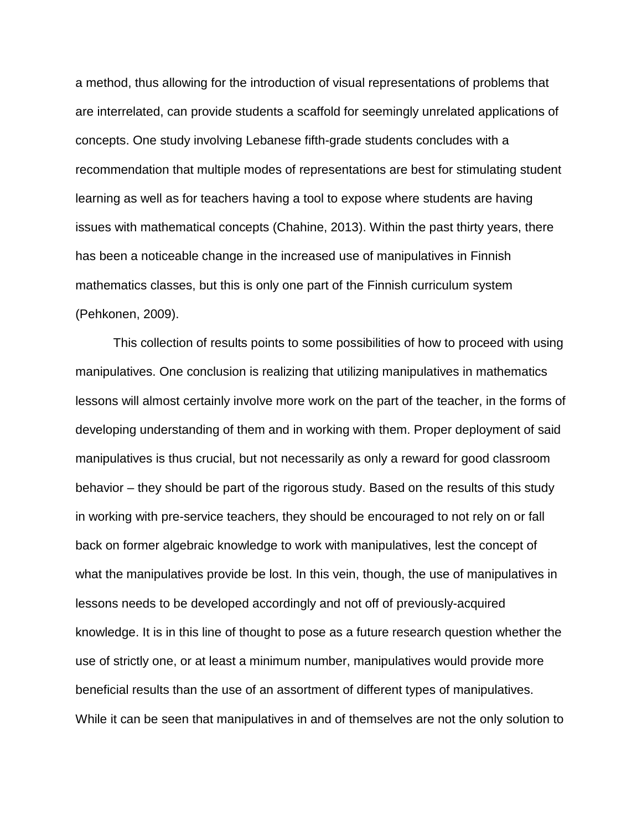a method, thus allowing for the introduction of visual representations of problems that are interrelated, can provide students a scaffold for seemingly unrelated applications of concepts. One study involving Lebanese fifth-grade students concludes with a recommendation that multiple modes of representations are best for stimulating student learning as well as for teachers having a tool to expose where students are having issues with mathematical concepts (Chahine, 2013). Within the past thirty years, there has been a noticeable change in the increased use of manipulatives in Finnish mathematics classes, but this is only one part of the Finnish curriculum system (Pehkonen, 2009).

This collection of results points to some possibilities of how to proceed with using manipulatives. One conclusion is realizing that utilizing manipulatives in mathematics lessons will almost certainly involve more work on the part of the teacher, in the forms of developing understanding of them and in working with them. Proper deployment of said manipulatives is thus crucial, but not necessarily as only a reward for good classroom behavior – they should be part of the rigorous study. Based on the results of this study in working with pre-service teachers, they should be encouraged to not rely on or fall back on former algebraic knowledge to work with manipulatives, lest the concept of what the manipulatives provide be lost. In this vein, though, the use of manipulatives in lessons needs to be developed accordingly and not off of previously-acquired knowledge. It is in this line of thought to pose as a future research question whether the use of strictly one, or at least a minimum number, manipulatives would provide more beneficial results than the use of an assortment of different types of manipulatives. While it can be seen that manipulatives in and of themselves are not the only solution to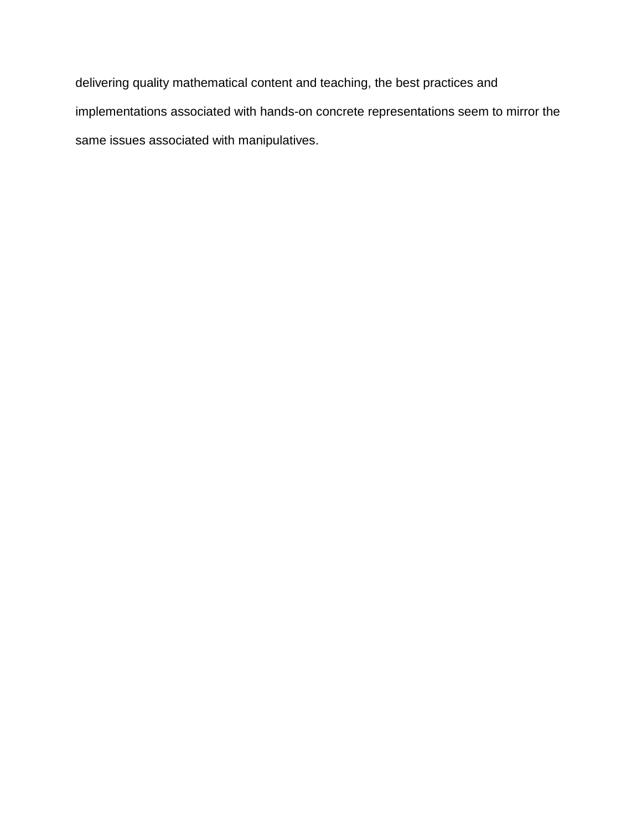delivering quality mathematical content and teaching, the best practices and implementations associated with hands-on concrete representations seem to mirror the same issues associated with manipulatives.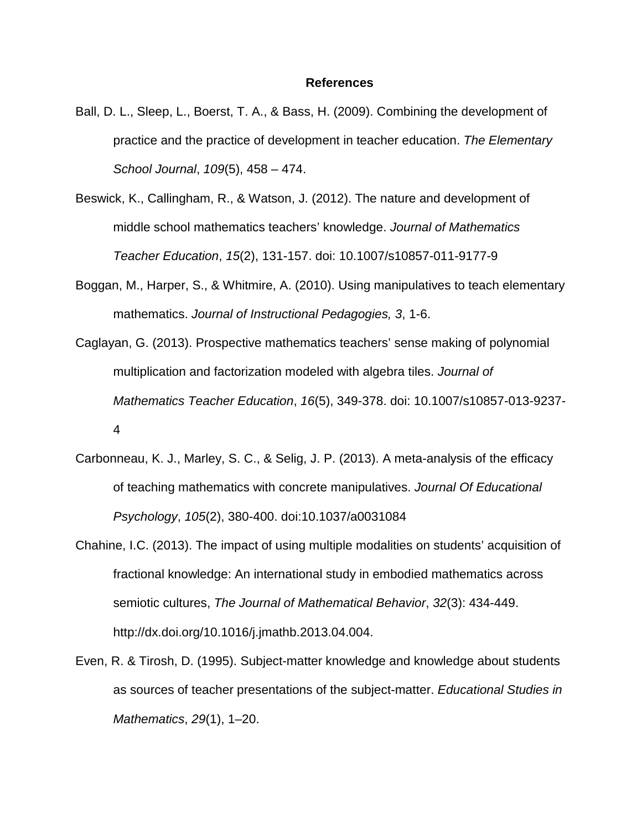#### **References**

- Ball, D. L., Sleep, L., Boerst, T. A., & Bass, H. (2009). Combining the development of practice and the practice of development in teacher education. *The Elementary School Journal*, *109*(5), 458 – 474.
- Beswick, K., Callingham, R., & Watson, J. (2012). The nature and development of middle school mathematics teachers' knowledge. *Journal of Mathematics Teacher Education*, *15*(2), 131-157. doi: 10.1007/s10857-011-9177-9
- Boggan, M., Harper, S., & Whitmire, A. (2010). Using manipulatives to teach elementary mathematics. *Journal of Instructional Pedagogies, 3*, 1-6.
- Caglayan, G. (2013). Prospective mathematics teachers' sense making of polynomial multiplication and factorization modeled with algebra tiles. *Journal of Mathematics Teacher Education*, *16*(5), 349-378. doi: 10.1007/s10857-013-9237- 4
- Carbonneau, K. J., Marley, S. C., & Selig, J. P. (2013). A meta-analysis of the efficacy of teaching mathematics with concrete manipulatives. *Journal Of Educational Psychology*, *105*(2), 380-400. doi:10.1037/a0031084
- Chahine, I.C. (2013). The impact of using multiple modalities on students' acquisition of fractional knowledge: An international study in embodied mathematics across semiotic cultures, *The Journal of Mathematical Behavior*, *32*(3): 434-449. http://dx.doi.org/10.1016/j.jmathb.2013.04.004.
- Even, R. & Tirosh, D. (1995). Subject-matter knowledge and knowledge about students as sources of teacher presentations of the subject-matter. *Educational Studies in Mathematics*, *29*(1), 1–20.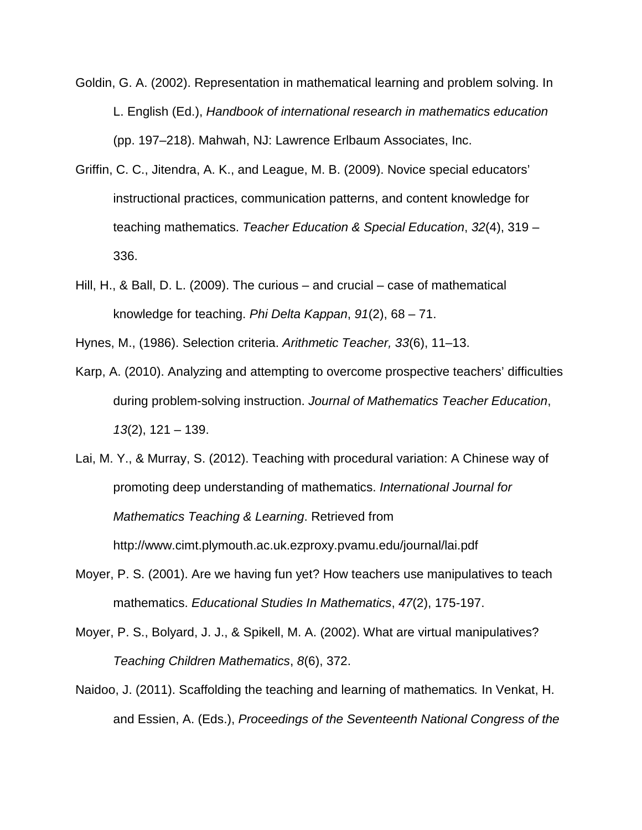Goldin, G. A. (2002). Representation in mathematical learning and problem solving. In L. English (Ed.), *Handbook of international research in mathematics education* (pp. 197–218). Mahwah, NJ: Lawrence Erlbaum Associates, Inc.

- Griffin, C. C., Jitendra, A. K., and League, M. B. (2009). Novice special educators' instructional practices, communication patterns, and content knowledge for teaching mathematics. *Teacher Education & Special Education*, *32*(4), 319 – 336.
- Hill, H., & Ball, D. L. (2009). The curious and crucial case of mathematical knowledge for teaching. *Phi Delta Kappan*, *91*(2), 68 – 71.

Hynes, M., (1986). Selection criteria. *Arithmetic Teacher, 33*(6), 11–13.

- Karp, A. (2010). Analyzing and attempting to overcome prospective teachers' difficulties during problem-solving instruction. *Journal of Mathematics Teacher Education*, *13*(2), 121 – 139.
- Lai, M. Y., & Murray, S. (2012). Teaching with procedural variation: A Chinese way of promoting deep understanding of mathematics. *International Journal for Mathematics Teaching & Learning*. Retrieved from http://www.cimt.plymouth.ac.uk.ezproxy.pvamu.edu/journal/lai.pdf
- Moyer, P. S. (2001). Are we having fun yet? How teachers use manipulatives to teach mathematics. *Educational Studies In Mathematics*, *47*(2), 175-197.
- Moyer, P. S., Bolyard, J. J., & Spikell, M. A. (2002). What are virtual manipulatives? *Teaching Children Mathematics*, *8*(6), 372.
- Naidoo, J. (2011). Scaffolding the teaching and learning of mathematics*.* In Venkat, H. and Essien, A. (Eds.), *Proceedings of the Seventeenth National Congress of the*